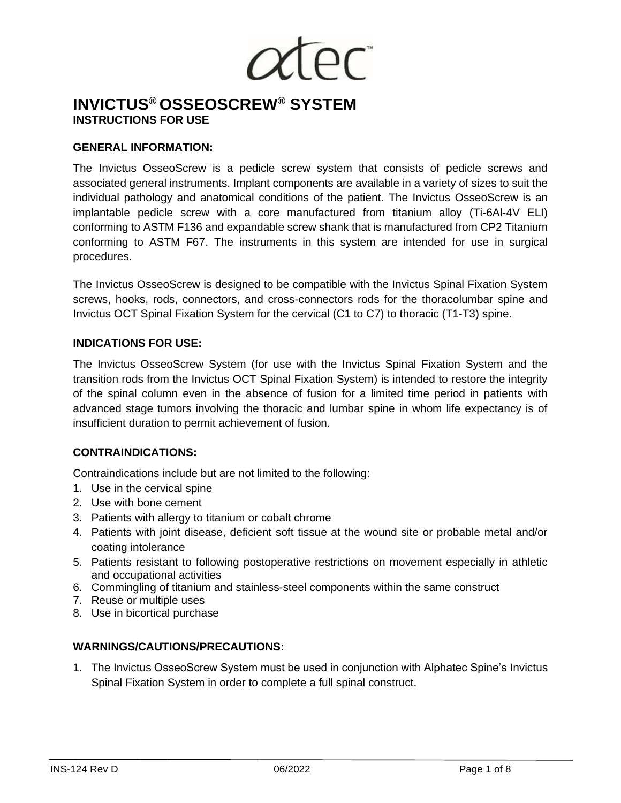$\overline{\rho}$ C

# **INVICTUS® OSSEOSCREW® SYSTEM INSTRUCTIONS FOR USE**

#### **GENERAL INFORMATION:**

The Invictus OsseoScrew is a pedicle screw system that consists of pedicle screws and associated general instruments. Implant components are available in a variety of sizes to suit the individual pathology and anatomical conditions of the patient. The Invictus OsseoScrew is an implantable pedicle screw with a core manufactured from titanium alloy (Ti-6Al-4V ELI) conforming to ASTM F136 and expandable screw shank that is manufactured from CP2 Titanium conforming to ASTM F67. The instruments in this system are intended for use in surgical procedures.

The Invictus OsseoScrew is designed to be compatible with the Invictus Spinal Fixation System screws, hooks, rods, connectors, and cross-connectors rods for the thoracolumbar spine and Invictus OCT Spinal Fixation System for the cervical (C1 to C7) to thoracic (T1-T3) spine.

#### **INDICATIONS FOR USE:**

The Invictus OsseoScrew System (for use with the Invictus Spinal Fixation System and the transition rods from the Invictus OCT Spinal Fixation System) is intended to restore the integrity of the spinal column even in the absence of fusion for a limited time period in patients with advanced stage tumors involving the thoracic and lumbar spine in whom life expectancy is of insufficient duration to permit achievement of fusion.

# **CONTRAINDICATIONS:**

Contraindications include but are not limited to the following:

- 1. Use in the cervical spine
- 2. Use with bone cement
- 3. Patients with allergy to titanium or cobalt chrome
- 4. Patients with joint disease, deficient soft tissue at the wound site or probable metal and/or coating intolerance
- 5. Patients resistant to following postoperative restrictions on movement especially in athletic and occupational activities
- 6. Commingling of titanium and stainless-steel components within the same construct
- 7. Reuse or multiple uses
- 8. Use in bicortical purchase

# **WARNINGS/CAUTIONS/PRECAUTIONS:**

1. The Invictus OsseoScrew System must be used in conjunction with Alphatec Spine's Invictus Spinal Fixation System in order to complete a full spinal construct.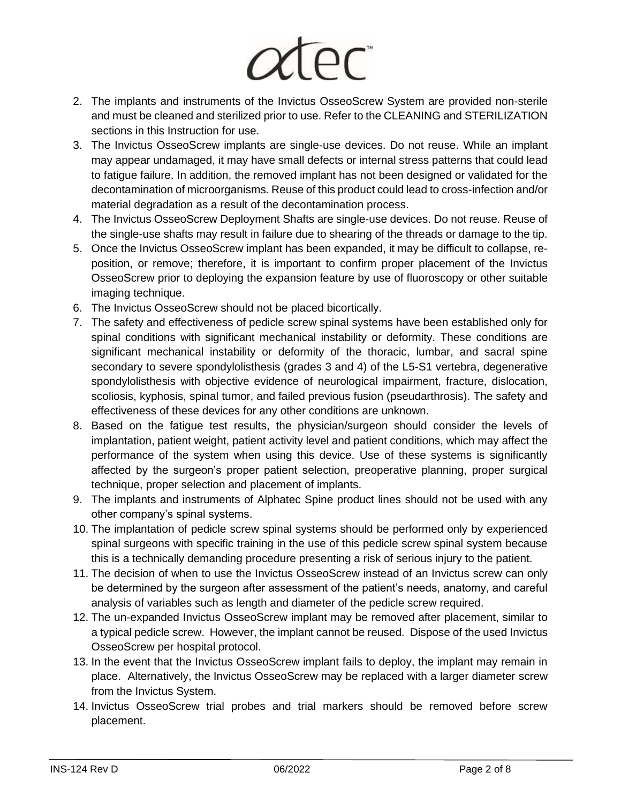# *atec*

- 2. The implants and instruments of the Invictus OsseoScrew System are provided non-sterile and must be cleaned and sterilized prior to use. Refer to the CLEANING and STERILIZATION sections in this Instruction for use.
- 3. The Invictus OsseoScrew implants are single-use devices. Do not reuse. While an implant may appear undamaged, it may have small defects or internal stress patterns that could lead to fatigue failure. In addition, the removed implant has not been designed or validated for the decontamination of microorganisms. Reuse of this product could lead to cross-infection and/or material degradation as a result of the decontamination process.
- 4. The Invictus OsseoScrew Deployment Shafts are single-use devices. Do not reuse. Reuse of the single-use shafts may result in failure due to shearing of the threads or damage to the tip.
- 5. Once the Invictus OsseoScrew implant has been expanded, it may be difficult to collapse, reposition, or remove; therefore, it is important to confirm proper placement of the Invictus OsseoScrew prior to deploying the expansion feature by use of fluoroscopy or other suitable imaging technique.
- 6. The Invictus OsseoScrew should not be placed bicortically.
- 7. The safety and effectiveness of pedicle screw spinal systems have been established only for spinal conditions with significant mechanical instability or deformity. These conditions are significant mechanical instability or deformity of the thoracic, lumbar, and sacral spine secondary to severe spondylolisthesis (grades 3 and 4) of the L5-S1 vertebra, degenerative spondylolisthesis with objective evidence of neurological impairment, fracture, dislocation, scoliosis, kyphosis, spinal tumor, and failed previous fusion (pseudarthrosis). The safety and effectiveness of these devices for any other conditions are unknown.
- 8. Based on the fatigue test results, the physician/surgeon should consider the levels of implantation, patient weight, patient activity level and patient conditions, which may affect the performance of the system when using this device. Use of these systems is significantly affected by the surgeon's proper patient selection, preoperative planning, proper surgical technique, proper selection and placement of implants.
- 9. The implants and instruments of Alphatec Spine product lines should not be used with any other company's spinal systems.
- 10. The implantation of pedicle screw spinal systems should be performed only by experienced spinal surgeons with specific training in the use of this pedicle screw spinal system because this is a technically demanding procedure presenting a risk of serious injury to the patient.
- 11. The decision of when to use the Invictus OsseoScrew instead of an Invictus screw can only be determined by the surgeon after assessment of the patient's needs, anatomy, and careful analysis of variables such as length and diameter of the pedicle screw required.
- 12. The un-expanded Invictus OsseoScrew implant may be removed after placement, similar to a typical pedicle screw. However, the implant cannot be reused. Dispose of the used Invictus OsseoScrew per hospital protocol.
- 13. In the event that the Invictus OsseoScrew implant fails to deploy, the implant may remain in place. Alternatively, the Invictus OsseoScrew may be replaced with a larger diameter screw from the Invictus System.
- 14. Invictus OsseoScrew trial probes and trial markers should be removed before screw placement.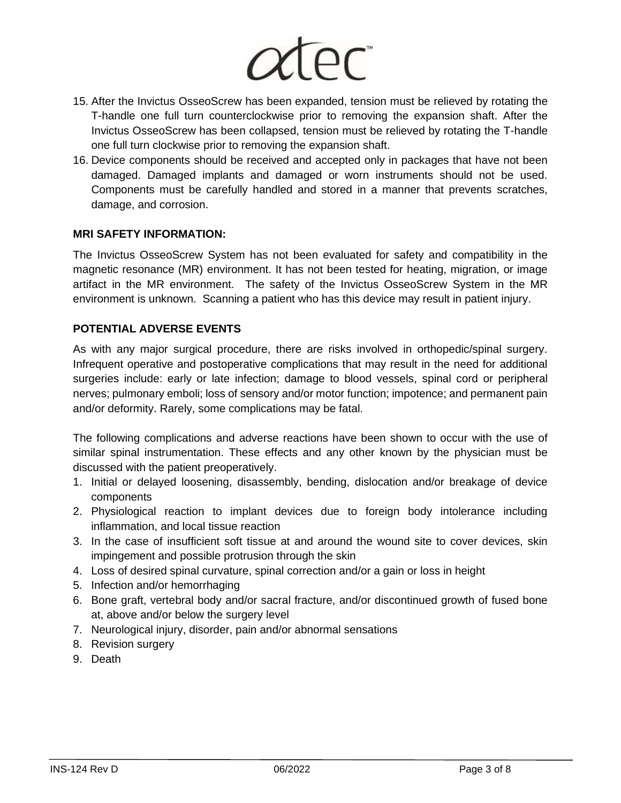

- 15. After the Invictus OsseoScrew has been expanded, tension must be relieved by rotating the T-handle one full turn counterclockwise prior to removing the expansion shaft. After the Invictus OsseoScrew has been collapsed, tension must be relieved by rotating the T-handle one full turn clockwise prior to removing the expansion shaft.
- 16. Device components should be received and accepted only in packages that have not been damaged. Damaged implants and damaged or worn instruments should not be used. Components must be carefully handled and stored in a manner that prevents scratches, damage, and corrosion.

# **MRI SAFETY INFORMATION:**

The Invictus OsseoScrew System has not been evaluated for safety and compatibility in the magnetic resonance (MR) environment. It has not been tested for heating, migration, or image artifact in the MR environment. The safety of the Invictus OsseoScrew System in the MR environment is unknown. Scanning a patient who has this device may result in patient injury.

# **POTENTIAL ADVERSE EVENTS**

As with any major surgical procedure, there are risks involved in orthopedic/spinal surgery. Infrequent operative and postoperative complications that may result in the need for additional surgeries include: early or late infection; damage to blood vessels, spinal cord or peripheral nerves; pulmonary emboli; loss of sensory and/or motor function; impotence; and permanent pain and/or deformity. Rarely, some complications may be fatal.

The following complications and adverse reactions have been shown to occur with the use of similar spinal instrumentation. These effects and any other known by the physician must be discussed with the patient preoperatively.

- 1. Initial or delayed loosening, disassembly, bending, dislocation and/or breakage of device components
- 2. Physiological reaction to implant devices due to foreign body intolerance including inflammation, and local tissue reaction
- 3. In the case of insufficient soft tissue at and around the wound site to cover devices, skin impingement and possible protrusion through the skin
- 4. Loss of desired spinal curvature, spinal correction and/or a gain or loss in height
- 5. Infection and/or hemorrhaging
- 6. Bone graft, vertebral body and/or sacral fracture, and/or discontinued growth of fused bone at, above and/or below the surgery level
- 7. Neurological injury, disorder, pain and/or abnormal sensations
- 8. Revision surgery
- 9. Death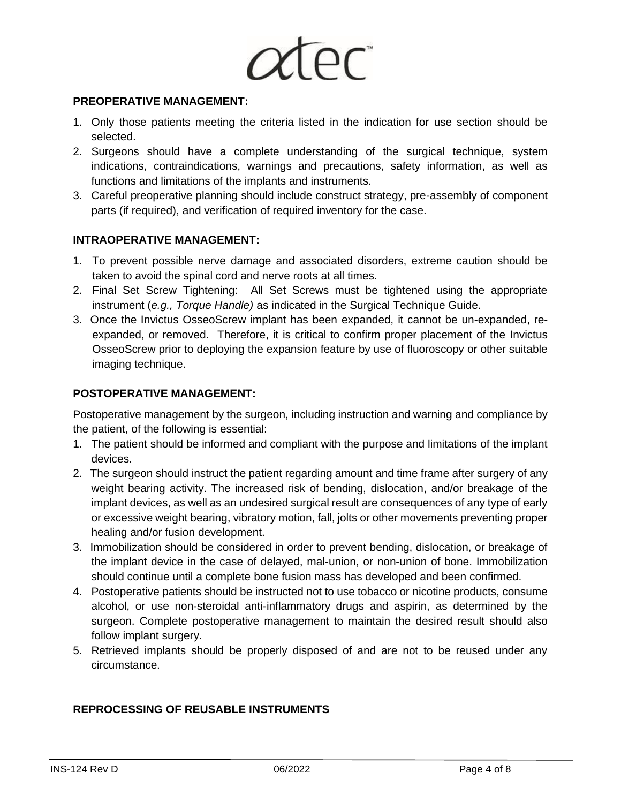

#### **PREOPERATIVE MANAGEMENT:**

- 1. Only those patients meeting the criteria listed in the indication for use section should be selected.
- 2. Surgeons should have a complete understanding of the surgical technique, system indications, contraindications, warnings and precautions, safety information, as well as functions and limitations of the implants and instruments.
- 3. Careful preoperative planning should include construct strategy, pre-assembly of component parts (if required), and verification of required inventory for the case.

# **INTRAOPERATIVE MANAGEMENT:**

- 1. To prevent possible nerve damage and associated disorders, extreme caution should be taken to avoid the spinal cord and nerve roots at all times.
- 2. Final Set Screw Tightening: All Set Screws must be tightened using the appropriate instrument (*e.g., Torque Handle)* as indicated in the Surgical Technique Guide.
- 3. Once the Invictus OsseoScrew implant has been expanded, it cannot be un-expanded, reexpanded, or removed. Therefore, it is critical to confirm proper placement of the Invictus OsseoScrew prior to deploying the expansion feature by use of fluoroscopy or other suitable imaging technique.

#### **POSTOPERATIVE MANAGEMENT:**

Postoperative management by the surgeon, including instruction and warning and compliance by the patient, of the following is essential:

- 1. The patient should be informed and compliant with the purpose and limitations of the implant devices.
- 2. The surgeon should instruct the patient regarding amount and time frame after surgery of any weight bearing activity. The increased risk of bending, dislocation, and/or breakage of the implant devices, as well as an undesired surgical result are consequences of any type of early or excessive weight bearing, vibratory motion, fall, jolts or other movements preventing proper healing and/or fusion development.
- 3. Immobilization should be considered in order to prevent bending, dislocation, or breakage of the implant device in the case of delayed, mal-union, or non-union of bone. Immobilization should continue until a complete bone fusion mass has developed and been confirmed.
- 4. Postoperative patients should be instructed not to use tobacco or nicotine products, consume alcohol, or use non-steroidal anti-inflammatory drugs and aspirin, as determined by the surgeon. Complete postoperative management to maintain the desired result should also follow implant surgery.
- 5. Retrieved implants should be properly disposed of and are not to be reused under any circumstance.

# **REPROCESSING OF REUSABLE INSTRUMENTS**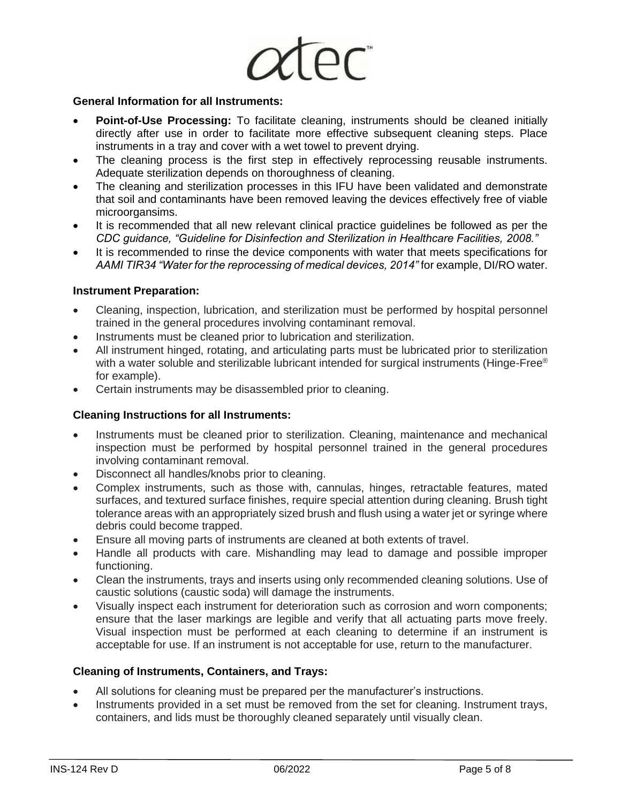

#### **General Information for all Instruments:**

- **Point-of-Use Processing:** To facilitate cleaning, instruments should be cleaned initially directly after use in order to facilitate more effective subsequent cleaning steps. Place instruments in a tray and cover with a wet towel to prevent drying.
- The cleaning process is the first step in effectively reprocessing reusable instruments. Adequate sterilization depends on thoroughness of cleaning.
- The cleaning and sterilization processes in this IFU have been validated and demonstrate that soil and contaminants have been removed leaving the devices effectively free of viable microorgansims.
- It is recommended that all new relevant clinical practice guidelines be followed as per the *CDC guidance, "Guideline for Disinfection and Sterilization in Healthcare Facilities, 2008."*
- It is recommended to rinse the device components with water that meets specifications for AAMI TIR34 "Water for the reprocessing of medical devices, 2014" for example, DI/RO water.

#### **Instrument Preparation:**

- Cleaning, inspection, lubrication, and sterilization must be performed by hospital personnel trained in the general procedures involving contaminant removal.
- Instruments must be cleaned prior to lubrication and sterilization.
- All instrument hinged, rotating, and articulating parts must be lubricated prior to sterilization with a water soluble and sterilizable lubricant intended for surgical instruments (Hinge-Free® for example).
- Certain instruments may be disassembled prior to cleaning.

#### **Cleaning Instructions for all Instruments:**

- Instruments must be cleaned prior to sterilization. Cleaning, maintenance and mechanical inspection must be performed by hospital personnel trained in the general procedures involving contaminant removal.
- Disconnect all handles/knobs prior to cleaning.
- Complex instruments, such as those with, cannulas, hinges, retractable features, mated surfaces, and textured surface finishes, require special attention during cleaning. Brush tight tolerance areas with an appropriately sized brush and flush using a water jet or syringe where debris could become trapped.
- Ensure all moving parts of instruments are cleaned at both extents of travel.
- Handle all products with care. Mishandling may lead to damage and possible improper functioning.
- Clean the instruments, trays and inserts using only recommended cleaning solutions. Use of caustic solutions (caustic soda) will damage the instruments.
- Visually inspect each instrument for deterioration such as corrosion and worn components; ensure that the laser markings are legible and verify that all actuating parts move freely. Visual inspection must be performed at each cleaning to determine if an instrument is acceptable for use. If an instrument is not acceptable for use, return to the manufacturer.

# **Cleaning of Instruments, Containers, and Trays:**

- All solutions for cleaning must be prepared per the manufacturer's instructions.
- Instruments provided in a set must be removed from the set for cleaning. Instrument trays, containers, and lids must be thoroughly cleaned separately until visually clean.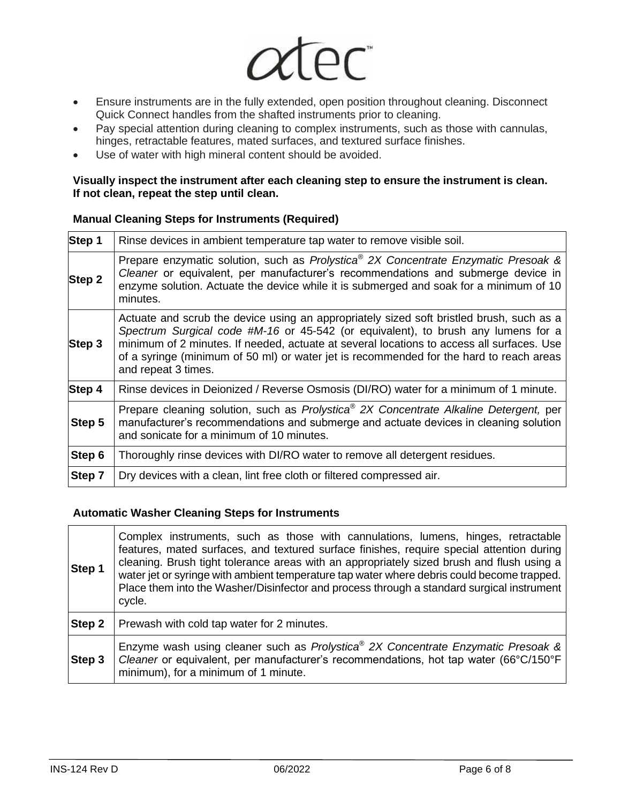

- Ensure instruments are in the fully extended, open position throughout cleaning. Disconnect Quick Connect handles from the shafted instruments prior to cleaning.
- Pay special attention during cleaning to complex instruments, such as those with cannulas, hinges, retractable features, mated surfaces, and textured surface finishes.
- Use of water with high mineral content should be avoided.

#### **Visually inspect the instrument after each cleaning step to ensure the instrument is clean. If not clean, repeat the step until clean.**

#### **Manual Cleaning Steps for Instruments (Required)**

| Step 1 | Rinse devices in ambient temperature tap water to remove visible soil.                                                                                                                                                                                                                                                                                                                       |
|--------|----------------------------------------------------------------------------------------------------------------------------------------------------------------------------------------------------------------------------------------------------------------------------------------------------------------------------------------------------------------------------------------------|
| Step 2 | Prepare enzymatic solution, such as <i>Prolystica</i> <sup>®</sup> 2X Concentrate Enzymatic Presoak &<br>Cleaner or equivalent, per manufacturer's recommendations and submerge device in<br>enzyme solution. Actuate the device while it is submerged and soak for a minimum of 10<br>minutes.                                                                                              |
| Step 3 | Actuate and scrub the device using an appropriately sized soft bristled brush, such as a<br>Spectrum Surgical code #M-16 or 45-542 (or equivalent), to brush any lumens for a<br>minimum of 2 minutes. If needed, actuate at several locations to access all surfaces. Use<br>of a syringe (minimum of 50 ml) or water jet is recommended for the hard to reach areas<br>and repeat 3 times. |
| Step 4 | Rinse devices in Deionized / Reverse Osmosis (DI/RO) water for a minimum of 1 minute.                                                                                                                                                                                                                                                                                                        |
| Step 5 | Prepare cleaning solution, such as <i>Prolystica</i> <sup>®</sup> 2X Concentrate Alkaline Detergent, per<br>manufacturer's recommendations and submerge and actuate devices in cleaning solution<br>and sonicate for a minimum of 10 minutes.                                                                                                                                                |
| Step 6 | Thoroughly rinse devices with DI/RO water to remove all detergent residues.                                                                                                                                                                                                                                                                                                                  |
| Step 7 | Dry devices with a clean, lint free cloth or filtered compressed air.                                                                                                                                                                                                                                                                                                                        |

# **Automatic Washer Cleaning Steps for Instruments**

| <b>Step 1</b> | Complex instruments, such as those with cannulations, lumens, hinges, retractable<br>features, mated surfaces, and textured surface finishes, require special attention during<br>cleaning. Brush tight tolerance areas with an appropriately sized brush and flush using a<br>water jet or syringe with ambient temperature tap water where debris could become trapped.<br>Place them into the Washer/Disinfector and process through a standard surgical instrument<br>cycle. |  |  |  |  |  |
|---------------|----------------------------------------------------------------------------------------------------------------------------------------------------------------------------------------------------------------------------------------------------------------------------------------------------------------------------------------------------------------------------------------------------------------------------------------------------------------------------------|--|--|--|--|--|
| Step 2        | Prewash with cold tap water for 2 minutes.                                                                                                                                                                                                                                                                                                                                                                                                                                       |  |  |  |  |  |
| Step 3        | Enzyme wash using cleaner such as Prolystica® 2X Concentrate Enzymatic Presoak &<br>Cleaner or equivalent, per manufacturer's recommendations, hot tap water (66°C/150°F)<br>minimum), for a minimum of 1 minute.                                                                                                                                                                                                                                                                |  |  |  |  |  |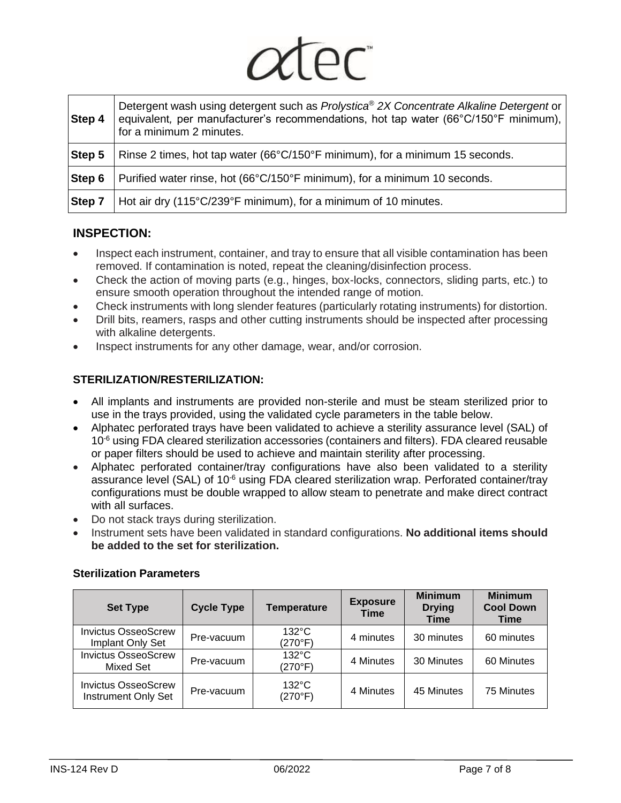|        | × |  |
|--------|---|--|
| $\sim$ |   |  |
|        |   |  |

| Step 4        | Detergent wash using detergent such as Prolystica® 2X Concentrate Alkaline Detergent or<br>equivalent, per manufacturer's recommendations, hot tap water (66°C/150°F minimum),<br>for a minimum 2 minutes. |
|---------------|------------------------------------------------------------------------------------------------------------------------------------------------------------------------------------------------------------|
| Step 5        | Rinse 2 times, hot tap water (66°C/150°F minimum), for a minimum 15 seconds.                                                                                                                               |
| Step 6        | Purified water rinse, hot (66°C/150°F minimum), for a minimum 10 seconds.                                                                                                                                  |
| <b>Step 7</b> | Hot air dry (115°C/239°F minimum), for a minimum of 10 minutes.                                                                                                                                            |

# **INSPECTION:**

- Inspect each instrument, container, and tray to ensure that all visible contamination has been removed. If contamination is noted, repeat the cleaning/disinfection process.
- Check the action of moving parts (e.g., hinges, box-locks, connectors, sliding parts, etc.) to ensure smooth operation throughout the intended range of motion.
- Check instruments with long slender features (particularly rotating instruments) for distortion.
- Drill bits, reamers, rasps and other cutting instruments should be inspected after processing with alkaline detergents.
- Inspect instruments for any other damage, wear, and/or corrosion.

# **STERILIZATION/RESTERILIZATION:**

- All implants and instruments are provided non-sterile and must be steam sterilized prior to use in the trays provided, using the validated cycle parameters in the table below.
- Alphatec perforated trays have been validated to achieve a sterility assurance level (SAL) of 10<sup>-6</sup> using FDA cleared sterilization accessories (containers and filters). FDA cleared reusable or paper filters should be used to achieve and maintain sterility after processing.
- Alphatec perforated container/tray configurations have also been validated to a sterility assurance level (SAL) of 10<sup>-6</sup> using FDA cleared sterilization wrap. Perforated container/tray configurations must be double wrapped to allow steam to penetrate and make direct contract with all surfaces.
- Do not stack trays during sterilization.
- Instrument sets have been validated in standard configurations. **No additional items should be added to the set for sterilization.**

| <b>Set Type</b>                                          | <b>Cycle Type</b> | <b>Temperature</b>         | <b>Exposure</b><br><b>Time</b> | <b>Minimum</b><br><b>Drying</b><br><b>Time</b> | <b>Minimum</b><br><b>Cool Down</b><br>Time |
|----------------------------------------------------------|-------------------|----------------------------|--------------------------------|------------------------------------------------|--------------------------------------------|
| <b>Invictus OsseoScrew</b><br>Implant Only Set           | Pre-vacuum        | $132^{\circ}$ C<br>(270°F) | 4 minutes                      | 30 minutes                                     | 60 minutes                                 |
| <b>Invictus OsseoScrew</b><br><b>Mixed Set</b>           | Pre-vacuum        | $132^{\circ}$ C<br>(270°F) | 4 Minutes                      | 30 Minutes                                     | 60 Minutes                                 |
| <b>Invictus OsseoScrew</b><br><b>Instrument Only Set</b> | Pre-vacuum        | $132^{\circ}$ C<br>(270°F) | 4 Minutes                      | 45 Minutes                                     | 75 Minutes                                 |

# **Sterilization Parameters**